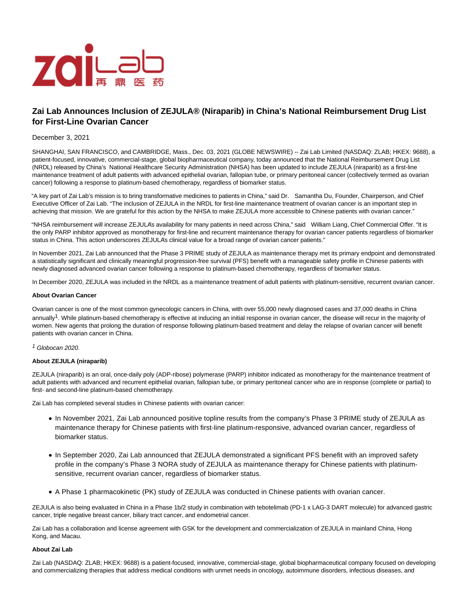

# **Zai Lab Announces Inclusion of ZEJULA® (Niraparib) in China's National Reimbursement Drug List for First-Line Ovarian Cancer**

# December 3, 2021

SHANGHAI, SAN FRANCISCO, and CAMBRIDGE, Mass., Dec. 03, 2021 (GLOBE NEWSWIRE) -- Zai Lab Limited (NASDAQ: ZLAB; HKEX: 9688), a patient-focused, innovative, commercial-stage, global biopharmaceutical company, today announced that the National Reimbursement Drug List (NRDL) released by China's National Healthcare Security Administration (NHSA) has been updated to include ZEJULA (niraparib) as a first-line maintenance treatment of adult patients with advanced epithelial ovarian, fallopian tube, or primary peritoneal cancer (collectively termed as ovarian cancer) following a response to platinum-based chemotherapy, regardless of biomarker status.

"A key part of Zai Lab's mission is to bring transformative medicines to patients in China," said Dr. Samantha Du, Founder, Chairperson, and Chief Executive Officer of Zai Lab. "The inclusion of ZEJULA in the NRDL for first-line maintenance treatment of ovarian cancer is an important step in achieving that mission. We are grateful for this action by the NHSA to make ZEJULA more accessible to Chinese patients with ovarian cancer."

"NHSA reimbursement will increase ZEJULA's availability for many patients in need across China," said William Liang, Chief Commercial Offer. "It is the only PARP inhibitor approved as monotherapy for first-line and recurrent maintenance therapy for ovarian cancer patients regardless of biomarker status in China. This action underscores ZEJULA's clinical value for a broad range of ovarian cancer patients."

In November 2021, Zai Lab announced that the Phase 3 PRIME study of ZEJULA as maintenance therapy met its primary endpoint and demonstrated a statistically significant and clinically meaningful progression-free survival (PFS) benefit with a manageable safety profile in Chinese patients with newly diagnosed advanced ovarian cancer following a response to platinum-based chemotherapy, regardless of biomarker status.

In December 2020, ZEJULA was included in the NRDL as a maintenance treatment of adult patients with platinum-sensitive, recurrent ovarian cancer.

### **About Ovarian Cancer**

Ovarian cancer is one of the most common gynecologic cancers in China, with over 55,000 newly diagnosed cases and 37,000 deaths in China annually<sup>1</sup>. While platinum-based chemotherapy is effective at inducing an initial response in ovarian cancer, the disease will recur in the majority of women. New agents that prolong the duration of response following platinum-based treatment and delay the relapse of ovarian cancer will benefit patients with ovarian cancer in China.

# 1 Globocan 2020.

# **About ZEJULA (niraparib)**

ZEJULA (niraparib) is an oral, once-daily poly (ADP-ribose) polymerase (PARP) inhibitor indicated as monotherapy for the maintenance treatment of adult patients with advanced and recurrent epithelial ovarian, fallopian tube, or primary peritoneal cancer who are in response (complete or partial) to first- and second-line platinum-based chemotherapy.

Zai Lab has completed several studies in Chinese patients with ovarian cancer:

- In November 2021, Zai Lab announced positive topline results from the company's Phase 3 PRIME study of ZEJULA as maintenance therapy for Chinese patients with first-line platinum-responsive, advanced ovarian cancer, regardless of biomarker status.
- In September 2020, Zai Lab announced that ZEJULA demonstrated a significant PFS benefit with an improved safety profile in the company's Phase 3 NORA study of ZEJULA as maintenance therapy for Chinese patients with platinumsensitive, recurrent ovarian cancer, regardless of biomarker status.
- A Phase 1 pharmacokinetic (PK) study of ZEJULA was conducted in Chinese patients with ovarian cancer.

ZEJULA is also being evaluated in China in a Phase 1b/2 study in combination with tebotelimab (PD-1 x LAG-3 DART molecule) for advanced gastric cancer, triple negative breast cancer, biliary tract cancer, and endometrial cancer.

Zai Lab has a collaboration and license agreement with GSK for the development and commercialization of ZEJULA in mainland China, Hong Kong, and Macau.

#### **About Zai Lab**

Zai Lab (NASDAQ: ZLAB; HKEX: 9688) is a patient-focused, innovative, commercial-stage, global biopharmaceutical company focused on developing and commercializing therapies that address medical conditions with unmet needs in oncology, autoimmune disorders, infectious diseases, and